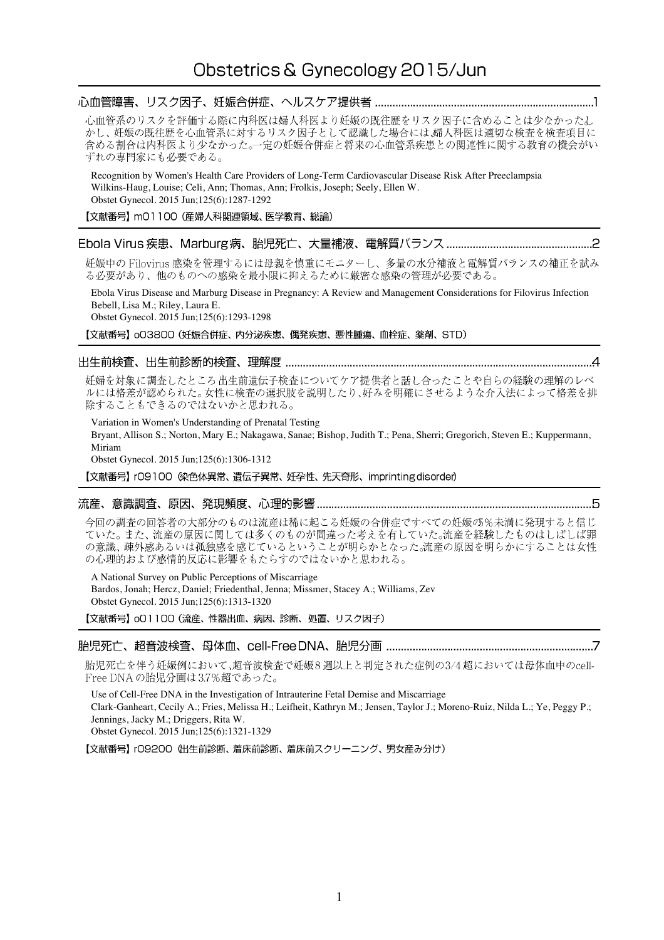# 

心血管系のリスクを評価する際に内科医は婦人科医より妊娠の既往歴をリスク因子に含めることは少なかったし かし、妊娠の既往歴を心血管系に対するリスク因子として認識した場合には、婦人科医は適切な検査を検査項目に 含める割合は内科医より少なかった。一定の妊娠合併症と将来の心血管系疾患との関連性に関する教育の機会がい ずれの専門家にも必要である。

Recognition by Women's Health Care Providers of Long-Term Cardiovascular Disease Risk After Preeclampsia Wilkins-Haug, Louise; Celi, Ann; Thomas, Ann; Frolkis, Joseph; Seely, Ellen W. Obstet Gynecol. 2015 Jun;125(6):1287-1292

【文献番号】 mO1100 (産婦人科関連領域、医学教育、総論)

## 

妊娠中の Filovirus 感染を管理するには母親を慎重にモニターし、多量の水分補液と電解質バランスの補正を試み る必要があり、他のものへの感染を最小限に抑えるために厳密な感染の管理が必要である。

Ebola Virus Disease and Marburg Disease in Pregnancy: A Review and Management Considerations for Filovirus Infection Bebell, Lisa M.; Riley, Laura E.

Obstet Gynecol. 2015 Jun;125(6):1293-1298

【文献番号】 oO3800 (妊娠合併症、内分泌疾患、偶発疾患、悪性腫瘍、血栓症、薬剤、STD)

## 

妊婦を対象に調査したところ出生前遺伝子検査についてケア提供者と話し合ったことや自らの経験の理解のレベ ルには格差が認められた。女性に検査の選択肢を説明したり、好みを明確にさせるような介入法によって格差を排 除することもできるのではないかと思われる。

Variation in Women's Understanding of Prenatal Testing

Bryant, Allison S.; Norton, Mary E.; Nakagawa, Sanae; Bishop, Judith T.; Pena, Sherri; Gregorich, Steven E.; Kuppermann, Miriam

Obstet Gynecol. 2015 Jun;125(6):1306-1312

【文献番号】 rO9100 《染色体異常、遺伝子異常、妊孕性、先天奇形、imprintingdisorder)

## 

今回の調査の回答者の大部分のものは流産は稀に起こる妊娠の合併症ですべての妊娠の5%未満に発現すると信じ ていた。また、流産の原因に関しては多くのものが間違った考えを有していた。流産を経験したものはしばしば罪 の意識、疎外感あるいは孤独感を感じているということが明らかとなった。流産の原因を明らかにすることは女性 の心理的および感情的反応に影響をもたらすのではないかと思われる。

A National Survey on Public Perceptions of Miscarriage

Bardos, Jonah; Hercz, Daniel; Friedenthal, Jenna; Missmer, Stacey A.; Williams, Zev Obstet Gynecol. 2015 Jun;125(6):1313-1320

【文献番号】 oO1100 (流産、性器出血、病因、診断、処置、リスク因子)

胎児死亡を伴う妊娠例において、超音波検査で妊娠8週以上と判定された症例の3/4超においては母体血中のcell-Free DNAの胎児分画は3.7%超であった。

Use of Cell-Free DNA in the Investigation of Intrauterine Fetal Demise and Miscarriage Clark-Ganheart, Cecily A.; Fries, Melissa H.; Leifheit, Kathryn M.; Jensen, Taylor J.; Moreno-Ruiz, Nilda L.; Ye, Peggy P.; Jennings, Jacky M.; Driggers, Rita W. Obstet Gynecol. 2015 Jun;125(6):1321-1329

【文献番号】 rO9200 (出生前診断、着床前診断、着床前スクリーニング、男女産み分け)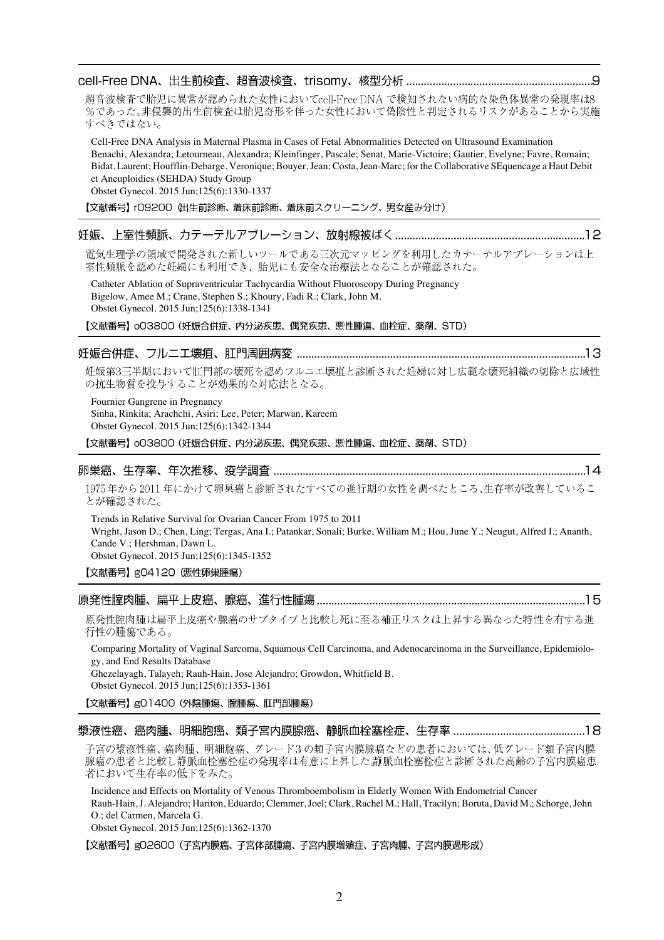超音波検査で胎児に異常が認められた女性においてcell-FreeDNA で検知されない病的な染色体異常の発現率は8 %であった。非侵襲的出生前検査は胎児奇形を伴った女性において偽陰性と判定されるリスクがあることから実施 すべきではない。

Cell-Free DNA Analysis in Maternal Plasma in Cases of Fetal Abnormalities Detected on Ultrasound Examination Benachi, Alexandra; Letourneau, Alexandra; Kleinfinger, Pascale; Senat, Marie-Victoire; Gautier, Evelyne; Favre, Romain; Bidat, Laurent; Houfflin-Debarge, Veronique; Bouyer, Jean; Costa, Jean-Marc; for the Collaborative SEquencage a Haut Debit et Aneuploidies (SEHDA) Study Group

Obstet Gynecol. 2015 Jun;125(6):1330-1337

【文献番号】 rO9200 (出生前診断、着床前診断、着床前スクリーニング、男女産み分け)

## 

電気生理学の領域で開発された新しいツールである三次元マッピングを利用したカテーテルアブレーションは上 室性頻脈を認めた妊婦にも利用でき、胎児にも安全な治療法となることが確認された。

Catheter Ablation of Supraventricular Tachycardia Without Fluoroscopy During Pregnancy Bigelow, Amee M.; Crane, Stephen S.; Khoury, Fadi R.; Clark, John M. Obstet Gynecol. 2015 Jun;125(6):1338-1341

【文献番号】 oO3800 (妊娠合併症、内分泌疾患、偶発疾患、悪性腫瘍、血栓症、薬剤、STD)

### 

妊娠第3三半期において肛門部の壊死を認めフルニエ壊疽と診断された妊婦に対し広範な壊死組織の切除と広域性 の抗生物質を投与することが効果的な対応法となる。

Fournier Gangrene in Pregnancy Sinha, Rinkita; Arachchi, Asiri; Lee, Peter; Marwan, Kareem Obstet Gynecol. 2015 Jun;125(6):1342-1344

【文献番号】 oO3800 (妊娠合併症、内分泌疾患、偶発疾患、悪性腫瘍、血栓症、薬剤、STD)

### 

1975年から2011年にかけて卵巣癌と診断されたすべての進行期の女性を調べたところ、生存率が改善しているこ とが確認された。

Trends in Relative Survival for Ovarian Cancer From 1975 to 2011 Wright, Jason D.; Chen, Ling; Tergas, Ana I.; Patankar, Sonali; Burke, William M.; Hou, June Y.; Neugut, Alfred I.; Ananth, Cande V.; Hershman, Dawn L. Obstet Gynecol. 2015 Jun;125(6):1345-1352

【文献番号】g04120 (悪性卵巣腫瘍)

### 

原発性腟肉腫は扁平上皮癌や腺癌のサブタイプと比較し死に至る補正リスクは上昇する異なった特性を有する進 行性の腫瘍である。

Comparing Mortality of Vaginal Sarcoma, Squamous Cell Carcinoma, and Adenocarcinoma in the Surveillance, Epidemiology, and End Results Database

Ghezelayagh, Talayeh; Rauh-Hain, Jose Alejandro; Growdon, Whitfield B. Obstet Gynecol. 2015 Jun;125(6):1353-1361

【文献番号】g01400 (外陰腫瘍、腟腫瘍、肛門部腫瘍)

| 漿液性癌、 | 癌肉腫、 | ,明細胞癌、類子宮内膜腺癌、 <sup>*</sup> | 静脈血栓塞栓症、 | 生左索 | . |
|-------|------|-----------------------------|----------|-----|---|
|       |      |                             |          |     |   |

子宮の漿液性癌、癌肉腫、明細胞癌、グレード3 の類子宮内膜腺癌などの患者においては、低グレード類子宮内膜 腺癌の患者と比較し静脈血栓塞栓症の発現率は有意に上昇した。静脈血栓塞栓症と診断された高齢の子宮内膜癌患 者において生存率の低下をみた。

Incidence and Effects on Mortality of Venous Thromboembolism in Elderly Women With Endometrial Cancer Rauh-Hain, J. Alejandro; Hariton, Eduardo; Clemmer, Joel; Clark, Rachel M.; Hall, Tracilyn; Boruta, David M.; Schorge, John O.; del Carmen, Marcela G.

Obstet Gynecol. 2015 Jun;125(6):1362-1370

【文献番号】gO2600 (子宮内膜癌、子宮体部腫瘍、子宮内膜増殖症、子宮肉腫、子宮内膜過形成)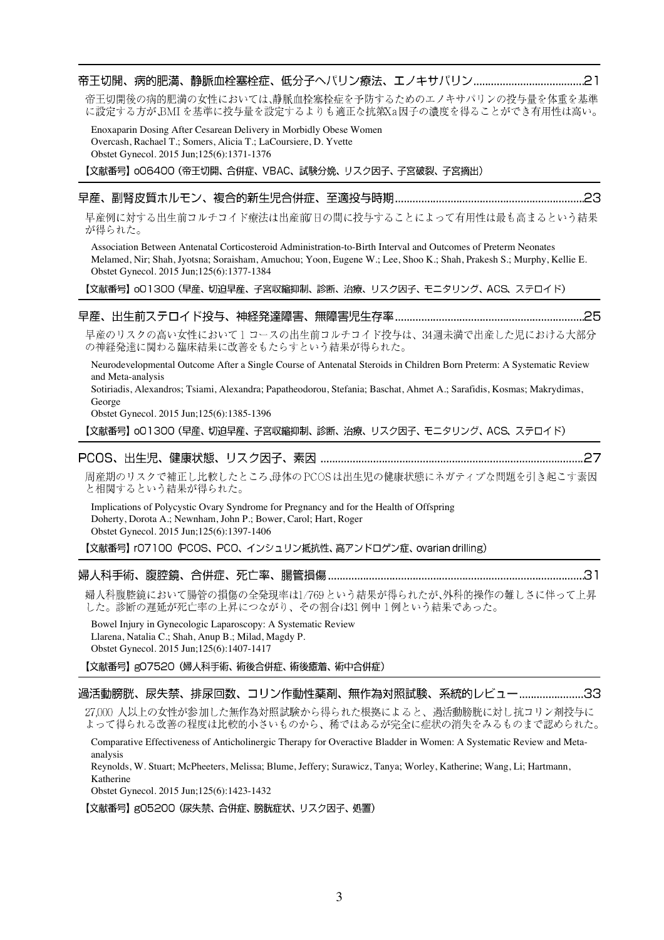帝王切開後の病的肥満の女性においては、静脈血栓塞栓症を予防するためのエノキサパリンの投与量を体重を基準 に設定する方が、BMIを基準に投与量を設定するよりも適正な抗第Xa因子の濃度を得ることができ有用性は高い。

Enoxaparin Dosing After Cesarean Delivery in Morbidly Obese Women Overcash, Rachael T.; Somers, Alicia T.; LaCoursiere, D. Yvette Obstet Gynecol. 2015 Jun;125(6):1371-1376

【文献番号】oO6400 (帝王切開、合併症、VBAC、試験分娩、リスク因子、子宮破裂、子宮摘出)

## 

早産例に対する出生前コルチコイド療法は出産前/日の間に投与することによって有用性は最も高まるという結果 が得られた。

Association Between Antenatal Corticosteroid Administration-to-Birth Interval and Outcomes of Preterm Neonates Melamed, Nir; Shah, Jyotsna; Soraisham, Amuchou; Yoon, Eugene W.; Lee, Shoo K.; Shah, Prakesh S.; Murphy, Kellie E. Obstet Gynecol. 2015 Jun;125(6):1377-1384

【文献番号】o01300 (早産、切迫早産、子宮収縮抑制、診断、治療、リスク因子、モニタリング、ACS、ステロイド)

### 

早産のリスクの高い女性において1コースの出生前コルチコイド投与は、34週未満で出産した児における大部分 の神経発達に関わる臨床結果に改善をもたらすという結果が得られた。

Neurodevelopmental Outcome After a Single Course of Antenatal Steroids in Children Born Preterm: A Systematic Review and Meta-analysis

Sotiriadis, Alexandros; Tsiami, Alexandra; Papatheodorou, Stefania; Baschat, Ahmet A.; Sarafidis, Kosmas; Makrydimas, George

Obstet Gynecol. 2015 Jun;125(6):1385-1396

【文献番号】o01300 (早産、切迫早産、子宮収縮抑制、診断、治療、リスク因子、モニタリング、ACS、ステロイド)

# 

周産期のリスクで補正し比較したところ、母体のPCOSは出生児の健康状態にネガティブな問題を引き起こす素因 と相関するという結果が得られた。

Implications of Polycystic Ovary Syndrome for Pregnancy and for the Health of Offspring Doherty, Dorota A.; Newnham, John P.; Bower, Carol; Hart, Roger Obstet Gynecol. 2015 Jun;125(6):1397-1406

【文献番号】 rO7100 (PCOS、PCO、インシュリン抵抗性、高アンドロゲン症、ovarian drilling)

### 

婦人科腹腔鏡において腸管の損傷の全発現率は1/769という結果が得られたが、外科的操作の難しさに伴って上昇 した。診断の遅延が死亡率の上昇につながり、その割合は31例中1例という結果であった。

Bowel Injury in Gynecologic Laparoscopy: A Systematic Review Llarena, Natalia C.; Shah, Anup B.; Milad, Magdy P. Obstet Gynecol. 2015 Jun;125(6):1407-1417

【文献番号】gO7520 (婦人科手術、術後合併症、術後癒着、術中合併症)

### 過活動膀胱、尿失禁、排尿回数、コリン作動性薬剤、無作為対照試験、系統的レビュー........................33

27,000 人以上の女性が参加した無作為対照試験から得られた根拠によると、過活動膀胱に対し抗コリン剤投与に よって得られる改善の程度は比較的小さいものから、稀ではあるが完全に症状の消失をみるものまで認められた。

Comparative Effectiveness of Anticholinergic Therapy for Overactive Bladder in Women: A Systematic Review and Metaanalysis

Reynolds, W. Stuart; McPheeters, Melissa; Blume, Jeffery; Surawicz, Tanya; Worley, Katherine; Wang, Li; Hartmann, Katherine

Obstet Gynecol. 2015 Jun;125(6):1423-1432

【文献番号】g05200 (尿失禁、合併症、膀胱症状、リスク因子、処置)